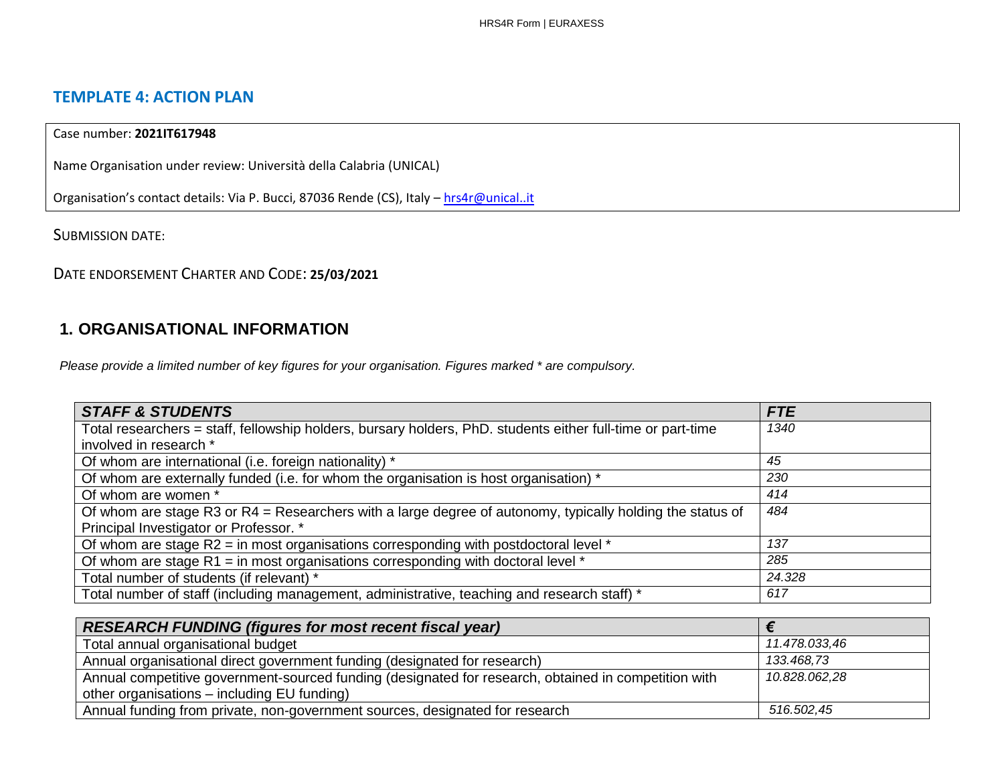# **TEMPLATE 4: ACTION PLAN**

## Case number: **2021IT617948**

Name Organisation under review: Università della Calabria (UNICAL)

Organisation's contact details: Via P. Bucci, 87036 Rende (CS), Italy - [hrs4r@unical..it](about:blank)

SUBMISSION DATE:

DATE ENDORSEMENT CHARTER AND CODE: **25/03/2021**

# **1. ORGANISATIONAL INFORMATION**

*Please provide a limited number of key figures for your organisation. Figures marked \* are compulsory.*

| <b>STAFF &amp; STUDENTS</b>                                                                                 | <b>FTE</b> |
|-------------------------------------------------------------------------------------------------------------|------------|
| Total researchers = staff, fellowship holders, bursary holders, PhD. students either full-time or part-time | 1340       |
| involved in research *                                                                                      |            |
| Of whom are international (i.e. foreign nationality) *                                                      | 45         |
| Of whom are externally funded (i.e. for whom the organisation is host organisation) *                       | 230        |
| Of whom are women *                                                                                         | 414        |
| Of whom are stage R3 or $R4$ = Researchers with a large degree of autonomy, typically holding the status of | 484        |
| Principal Investigator or Professor. *                                                                      |            |
| Of whom are stage R2 = in most organisations corresponding with postdoctoral level *                        | 137        |
| Of whom are stage R1 = in most organisations corresponding with doctoral level $*$                          | 285        |
| Total number of students (if relevant) *                                                                    | 24.328     |
| Total number of staff (including management, administrative, teaching and research staff) *                 | 617        |

| <b>RESEARCH FUNDING (figures for most recent fiscal year)</b>                                        |               |
|------------------------------------------------------------------------------------------------------|---------------|
| Total annual organisational budget                                                                   | 11.478.033,46 |
| Annual organisational direct government funding (designated for research)                            | 133.468,73    |
| Annual competitive government-sourced funding (designated for research, obtained in competition with | 10.828.062,28 |
| other organisations – including EU funding)                                                          |               |
| Annual funding from private, non-government sources, designated for research                         | 516.502.45    |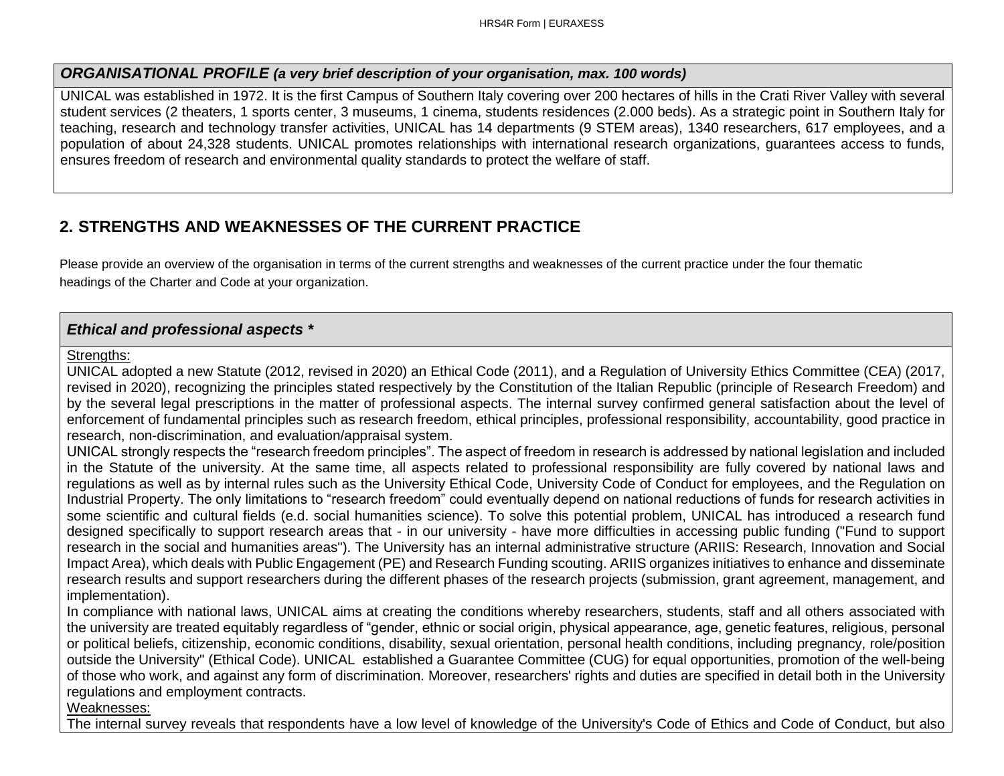### *ORGANISATIONAL PROFILE (a very brief description of your organisation, max. 100 words)*

UNICAL was established in 1972. It is the first Campus of Southern Italy covering over 200 hectares of hills in the Crati River Valley with several student services (2 theaters, 1 sports center, 3 museums, 1 cinema, students residences (2.000 beds). As a strategic point in Southern Italy for teaching, research and technology transfer activities, UNICAL has 14 departments (9 STEM areas), 1340 researchers, 617 employees, and a population of about 24,328 students. UNICAL promotes relationships with international research organizations, guarantees access to funds, ensures freedom of research and environmental quality standards to protect the welfare of staff.

# **2. STRENGTHS AND WEAKNESSES OF THE CURRENT PRACTICE**

Please provide an overview of the organisation in terms of the current strengths and weaknesses of the current practice under the four thematic headings of the Charter and Code at your organization.

# *Ethical and professional aspects \**

### Strengths:

UNICAL adopted a new Statute (2012, revised in 2020) an Ethical Code (2011), and a Regulation of University Ethics Committee (CEA) (2017, revised in 2020), recognizing the principles stated respectively by the Constitution of the Italian Republic (principle of Research Freedom) and by the several legal prescriptions in the matter of professional aspects. The internal survey confirmed general satisfaction about the level of enforcement of fundamental principles such as research freedom, ethical principles, professional responsibility, accountability, good practice in research, non-discrimination, and evaluation/appraisal system.

UNICAL strongly respects the "research freedom principles". The aspect of freedom in research is addressed by national legislation and included in the Statute of the university. At the same time, all aspects related to professional responsibility are fully covered by national laws and regulations as well as by internal rules such as the University Ethical Code, University Code of Conduct for employees, and the Regulation on Industrial Property. The only limitations to "research freedom" could eventually depend on national reductions of funds for research activities in some scientific and cultural fields (e.d. social humanities science). To solve this potential problem, UNICAL has introduced a research fund designed specifically to support research areas that - in our university - have more difficulties in accessing public funding ("Fund to support research in the social and humanities areas"). The University has an internal administrative structure (ARIIS: Research, Innovation and Social Impact Area), which deals with Public Engagement (PE) and Research Funding scouting. ARIIS organizes initiatives to enhance and disseminate research results and support researchers during the different phases of the research projects (submission, grant agreement, management, and implementation).

In compliance with national laws, UNICAL aims at creating the conditions whereby researchers, students, staff and all others associated with the university are treated equitably regardless of "gender, ethnic or social origin, physical appearance, age, genetic features, religious, personal or political beliefs, citizenship, economic conditions, disability, sexual orientation, personal health conditions, including pregnancy, role/position outside the University" (Ethical Code). UNICAL established a Guarantee Committee (CUG) for equal opportunities, promotion of the well-being of those who work, and against any form of discrimination. Moreover, researchers' rights and duties are specified in detail both in the University regulations and employment contracts.

Weaknesses:

The internal survey reveals that respondents have a low level of knowledge of the University's Code of Ethics and Code of Conduct, but also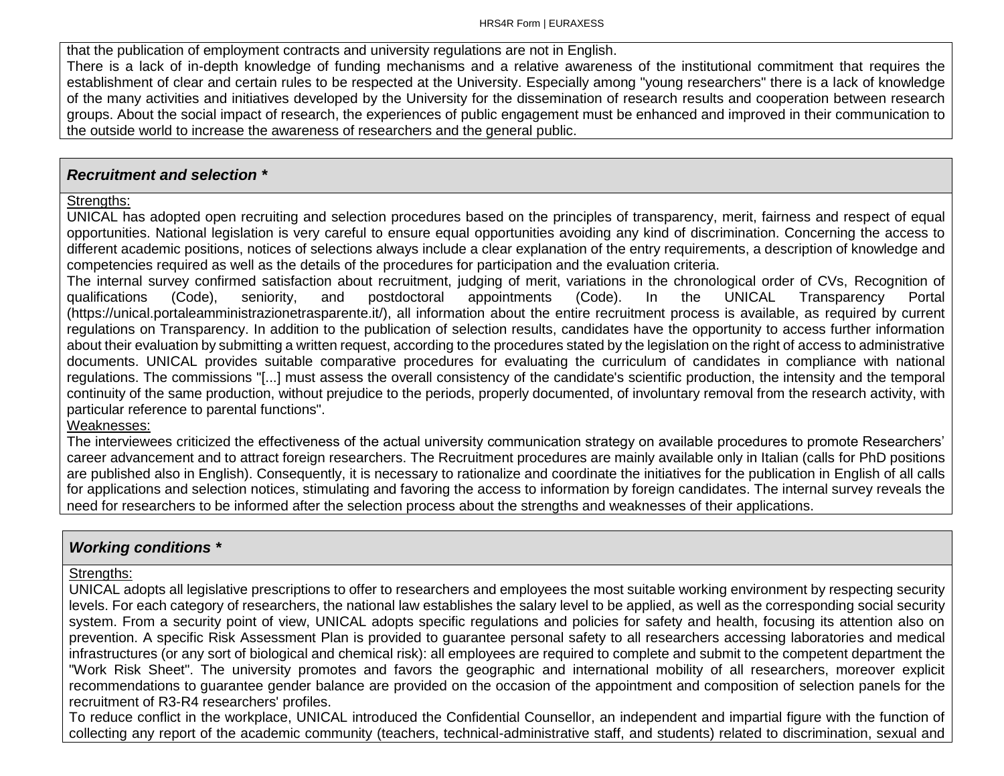that the publication of employment contracts and university regulations are not in English. There is a lack of in-depth knowledge of funding mechanisms and a relative awareness of the institutional commitment that requires the establishment of clear and certain rules to be respected at the University. Especially among "young researchers" there is a lack of knowledge of the many activities and initiatives developed by the University for the dissemination of research results and cooperation between research groups. About the social impact of research, the experiences of public engagement must be enhanced and improved in their communication to the outside world to increase the awareness of researchers and the general public.

## *Recruitment and selection \**

# Strengths:

UNICAL has adopted open recruiting and selection procedures based on the principles of transparency, merit, fairness and respect of equal opportunities. National legislation is very careful to ensure equal opportunities avoiding any kind of discrimination. Concerning the access to different academic positions, notices of selections always include a clear explanation of the entry requirements, a description of knowledge and competencies required as well as the details of the procedures for participation and the evaluation criteria.

The internal survey confirmed satisfaction about recruitment, judging of merit, variations in the chronological order of CVs, Recognition of qualifications (Code), seniority, and postdoctoral appointments (Code). In the UNICAL Transparency Portal (https://unical.portaleamministrazionetrasparente.it/), all information about the entire recruitment process is available, as required by current regulations on Transparency. In addition to the publication of selection results, candidates have the opportunity to access further information about their evaluation by submitting a written request, according to the procedures stated by the legislation on the right of access to administrative documents. UNICAL provides suitable comparative procedures for evaluating the curriculum of candidates in compliance with national regulations. The commissions "[...] must assess the overall consistency of the candidate's scientific production, the intensity and the temporal continuity of the same production, without prejudice to the periods, properly documented, of involuntary removal from the research activity, with particular reference to parental functions".

### Weaknesses:

The interviewees criticized the effectiveness of the actual university communication strategy on available procedures to promote Researchers' career advancement and to attract foreign researchers. The Recruitment procedures are mainly available only in Italian (calls for PhD positions are published also in English). Consequently, it is necessary to rationalize and coordinate the initiatives for the publication in English of all calls for applications and selection notices, stimulating and favoring the access to information by foreign candidates. The internal survey reveals the need for researchers to be informed after the selection process about the strengths and weaknesses of their applications.

# *Working conditions \**

### Strengths:

UNICAL adopts all legislative prescriptions to offer to researchers and employees the most suitable working environment by respecting security levels. For each category of researchers, the national law establishes the salary level to be applied, as well as the corresponding social security system. From a security point of view, UNICAL adopts specific regulations and policies for safety and health, focusing its attention also on prevention. A specific Risk Assessment Plan is provided to guarantee personal safety to all researchers accessing laboratories and medical infrastructures (or any sort of biological and chemical risk): all employees are required to complete and submit to the competent department the "Work Risk Sheet". The university promotes and favors the geographic and international mobility of all researchers, moreover explicit recommendations to guarantee gender balance are provided on the occasion of the appointment and composition of selection panels for the recruitment of R3-R4 researchers' profiles.

To reduce conflict in the workplace, UNICAL introduced the Confidential Counsellor, an independent and impartial figure with the function of collecting any report of the academic community (teachers, technical-administrative staff, and students) related to discrimination, sexual and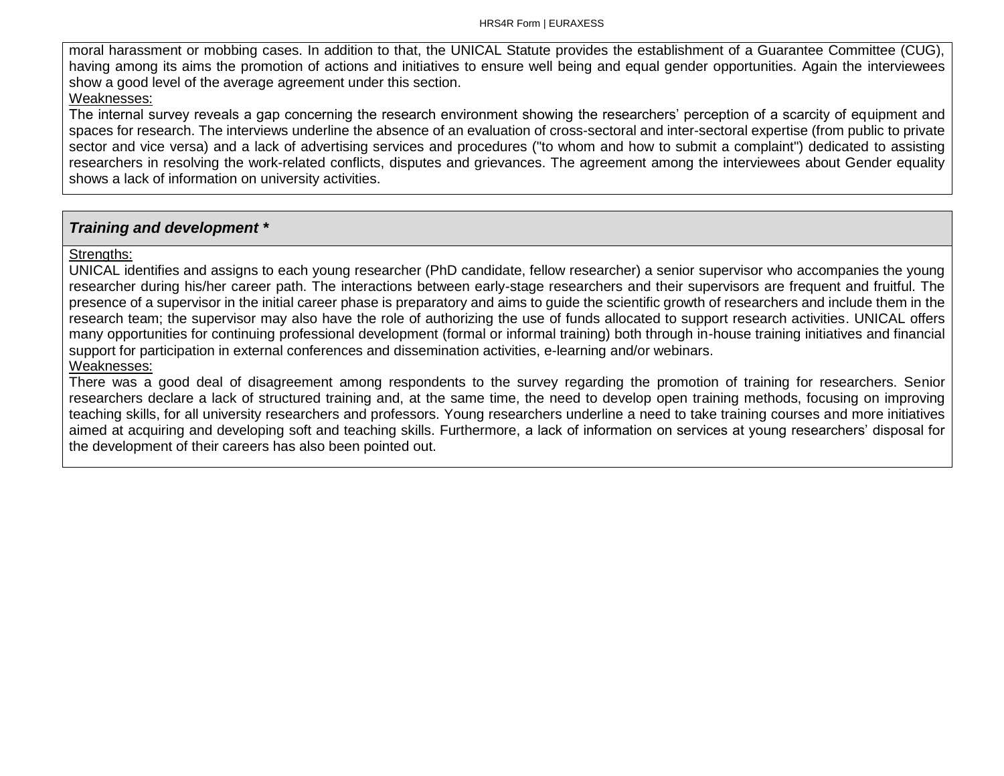moral harassment or mobbing cases. In addition to that, the UNICAL Statute provides the establishment of a Guarantee Committee (CUG), having among its aims the promotion of actions and initiatives to ensure well being and equal gender opportunities. Again the interviewees show a good level of the average agreement under this section.

#### Weaknesses:

The internal survey reveals a gap concerning the research environment showing the researchers' perception of a scarcity of equipment and spaces for research. The interviews underline the absence of an evaluation of cross-sectoral and inter-sectoral expertise (from public to private sector and vice versa) and a lack of advertising services and procedures ("to whom and how to submit a complaint") dedicated to assisting researchers in resolving the work-related conflicts, disputes and grievances. The agreement among the interviewees about Gender equality shows a lack of information on university activities.

## *Training and development \**

Strengths:

UNICAL identifies and assigns to each young researcher (PhD candidate, fellow researcher) a senior supervisor who accompanies the young researcher during his/her career path. The interactions between early-stage researchers and their supervisors are frequent and fruitful. The presence of a supervisor in the initial career phase is preparatory and aims to guide the scientific growth of researchers and include them in the research team; the supervisor may also have the role of authorizing the use of funds allocated to support research activities. UNICAL offers many opportunities for continuing professional development (formal or informal training) both through in-house training initiatives and financial support for participation in external conferences and dissemination activities, e-learning and/or webinars. Weaknesses:

There was a good deal of disagreement among respondents to the survey regarding the promotion of training for researchers. Senior researchers declare a lack of structured training and, at the same time, the need to develop open training methods, focusing on improving teaching skills, for all university researchers and professors. Young researchers underline a need to take training courses and more initiatives aimed at acquiring and developing soft and teaching skills. Furthermore, a lack of information on services at young researchers' disposal for the development of their careers has also been pointed out.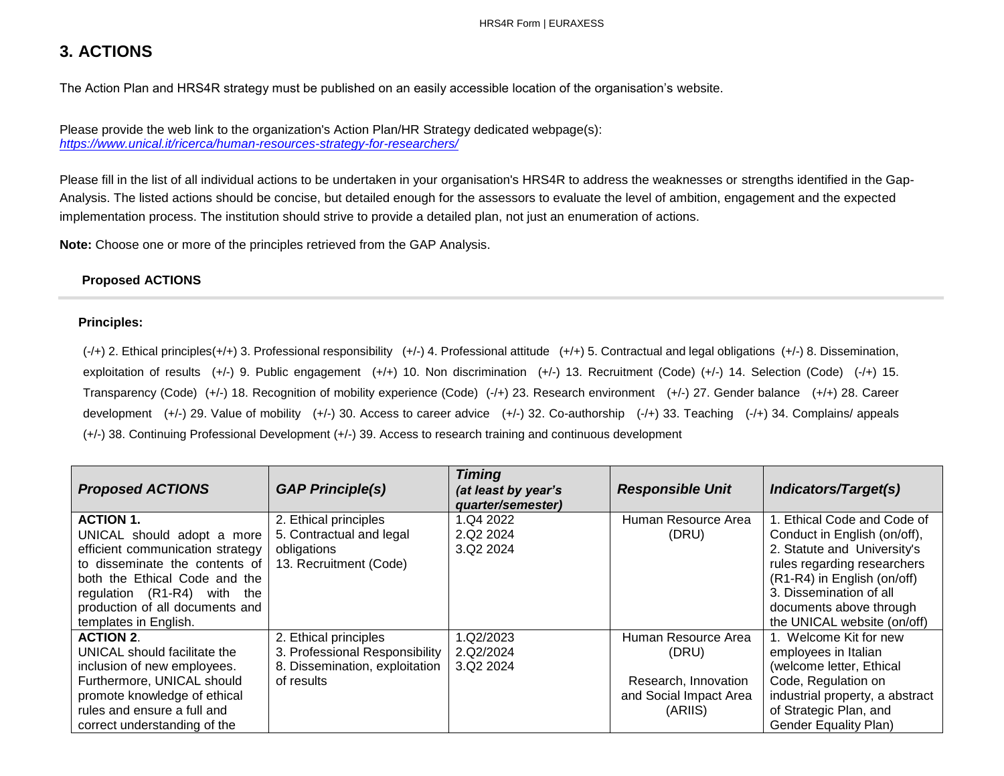# **3. ACTIONS**

The Action Plan and HRS4R strategy must be published on an easily accessible location of the organisation's website.

Please provide the web link to the organization's Action Plan/HR Strategy dedicated webpage(s): *<https://www.unical.it/ricerca/human-resources-strategy-for-researchers/>*

Please fill in the list of all individual actions to be undertaken in your organisation's HRS4R to address the weaknesses or strengths identified in the Gap-Analysis. The listed actions should be concise, but detailed enough for the assessors to evaluate the level of ambition, engagement and the expected implementation process. The institution should strive to provide a detailed plan, not just an enumeration of actions.

**Note:** Choose one or more of the principles retrieved from the GAP Analysis.

#### **Proposed ACTIONS**

#### **Principles:**

 $(-/+)$  2. Ethical principles( $+/-$ ) 3. Professional responsibility  $(+/-)$  4. Professional attitude  $(+/-)$  5. Contractual and legal obligations  $(+/-)$  8. Dissemination, exploitation of results (+/-) 9. Public engagement (+/+) 10. Non discrimination (+/-) 13. Recruitment (Code) (+/-) 14. Selection (Code) (-/+) 15. Transparency (Code) (+/-) 18. Recognition of mobility experience (Code) (-/+) 23. Research environment (+/-) 27. Gender balance (+/+) 28. Career development (+/-) 29. Value of mobility (+/-) 30. Access to career advice (+/-) 32. Co-authorship (-/+) 33. Teaching (-/+) 34. Complains/ appeals (+/-) 38. Continuing Professional Development (+/-) 39. Access to research training and continuous development

| <b>Proposed ACTIONS</b>          | <b>GAP Principle(s)</b>        | <b>Timing</b><br>(at least by year's<br>quarter/semester) | <b>Responsible Unit</b> | <b>Indicators/Target(s)</b>     |
|----------------------------------|--------------------------------|-----------------------------------------------------------|-------------------------|---------------------------------|
| <b>ACTION 1.</b>                 | 2. Ethical principles          | 1.Q4 2022                                                 | Human Resource Area     | . Ethical Code and Code of      |
| UNICAL should adopt a more       | 5. Contractual and legal       | 2.Q2 2024                                                 | (DRU)                   | Conduct in English (on/off),    |
| efficient communication strategy | obligations                    | 3.Q2 2024                                                 |                         | 2. Statute and University's     |
| to disseminate the contents of   | 13. Recruitment (Code)         |                                                           |                         | rules regarding researchers     |
| both the Ethical Code and the    |                                |                                                           |                         | (R1-R4) in English (on/off)     |
| regulation (R1-R4) with the      |                                |                                                           |                         | 3. Dissemination of all         |
| production of all documents and  |                                |                                                           |                         | documents above through         |
| templates in English.            |                                |                                                           |                         | the UNICAL website (on/off)     |
| <b>ACTION 2.</b>                 | 2. Ethical principles          | 1.Q2/2023                                                 | Human Resource Area     | 1. Welcome Kit for new          |
| UNICAL should facilitate the     | 3. Professional Responsibility | 2.Q2/2024                                                 | (DRU)                   | employees in Italian            |
| inclusion of new employees.      | 8. Dissemination, exploitation | 3.Q2 2024                                                 |                         | (welcome letter, Ethical        |
| Furthermore, UNICAL should       | of results                     |                                                           | Research, Innovation    | Code, Regulation on             |
| promote knowledge of ethical     |                                |                                                           | and Social Impact Area  | industrial property, a abstract |
| rules and ensure a full and      |                                |                                                           | (ARIIS)                 | of Strategic Plan, and          |
| correct understanding of the     |                                |                                                           |                         | <b>Gender Equality Plan)</b>    |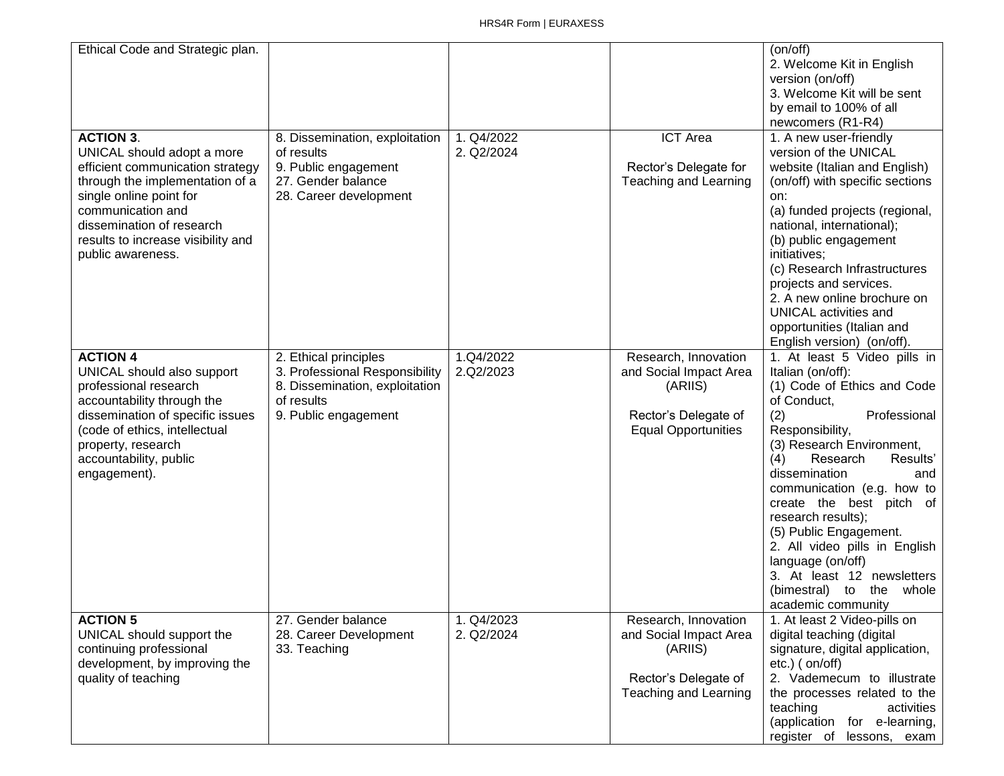| Ethical Code and Strategic plan.                                                                                                                                                                                                                              |                                                                                                                                 |                          |                                                                                                                 | (on/off)<br>2. Welcome Kit in English<br>version (on/off)<br>3. Welcome Kit will be sent<br>by email to 100% of all<br>newcomers (R1-R4)                                                                                                                                                                                                                                                                                                                                            |
|---------------------------------------------------------------------------------------------------------------------------------------------------------------------------------------------------------------------------------------------------------------|---------------------------------------------------------------------------------------------------------------------------------|--------------------------|-----------------------------------------------------------------------------------------------------------------|-------------------------------------------------------------------------------------------------------------------------------------------------------------------------------------------------------------------------------------------------------------------------------------------------------------------------------------------------------------------------------------------------------------------------------------------------------------------------------------|
| <b>ACTION 3.</b><br>UNICAL should adopt a more<br>efficient communication strategy<br>through the implementation of a<br>single online point for<br>communication and<br>dissemination of research<br>results to increase visibility and<br>public awareness. | 8. Dissemination, exploitation<br>of results<br>9. Public engagement<br>27. Gender balance<br>28. Career development            | 1. Q4/2022<br>2. Q2/2024 | <b>ICT</b> Area<br>Rector's Delegate for<br>Teaching and Learning                                               | 1. A new user-friendly<br>version of the UNICAL<br>website (Italian and English)<br>(on/off) with specific sections<br>on:<br>(a) funded projects (regional,<br>national, international);<br>(b) public engagement<br>initiatives;<br>(c) Research Infrastructures<br>projects and services.<br>2. A new online brochure on<br><b>UNICAL activities and</b><br>opportunities (Italian and<br>English version) (on/off).                                                             |
| <b>ACTION 4</b><br>UNICAL should also support<br>professional research<br>accountability through the<br>dissemination of specific issues<br>(code of ethics, intellectual<br>property, research<br>accountability, public<br>engagement).                     | 2. Ethical principles<br>3. Professional Responsibility<br>8. Dissemination, exploitation<br>of results<br>9. Public engagement | 1.Q4/2022<br>2.Q2/2023   | Research, Innovation<br>and Social Impact Area<br>(ARIIS)<br>Rector's Delegate of<br><b>Equal Opportunities</b> | 1. At least 5 Video pills in<br>Italian (on/off):<br>(1) Code of Ethics and Code<br>of Conduct.<br>Professional<br>(2)<br>Responsibility,<br>(3) Research Environment,<br>(4)<br>Research<br>Results'<br>dissemination<br>and<br>communication (e.g. how to<br>create the best pitch of<br>research results);<br>(5) Public Engagement.<br>2. All video pills in English<br>language (on/off)<br>3. At least 12 newsletters<br>(bimestral) to<br>the<br>whole<br>academic community |
| <b>ACTION 5</b><br>UNICAL should support the<br>continuing professional<br>development, by improving the<br>quality of teaching                                                                                                                               | 27. Gender balance<br>28. Career Development<br>33. Teaching                                                                    | 1. Q4/2023<br>2. Q2/2024 | Research, Innovation<br>and Social Impact Area<br>(ARIIS)<br>Rector's Delegate of<br>Teaching and Learning      | 1. At least 2 Video-pills on<br>digital teaching (digital<br>signature, digital application,<br>$etc.$ ) ( $on/off$ )<br>2. Vademecum to illustrate<br>the processes related to the<br>teaching<br>activities<br>(application for e-learning,<br>register of lessons, exam                                                                                                                                                                                                          |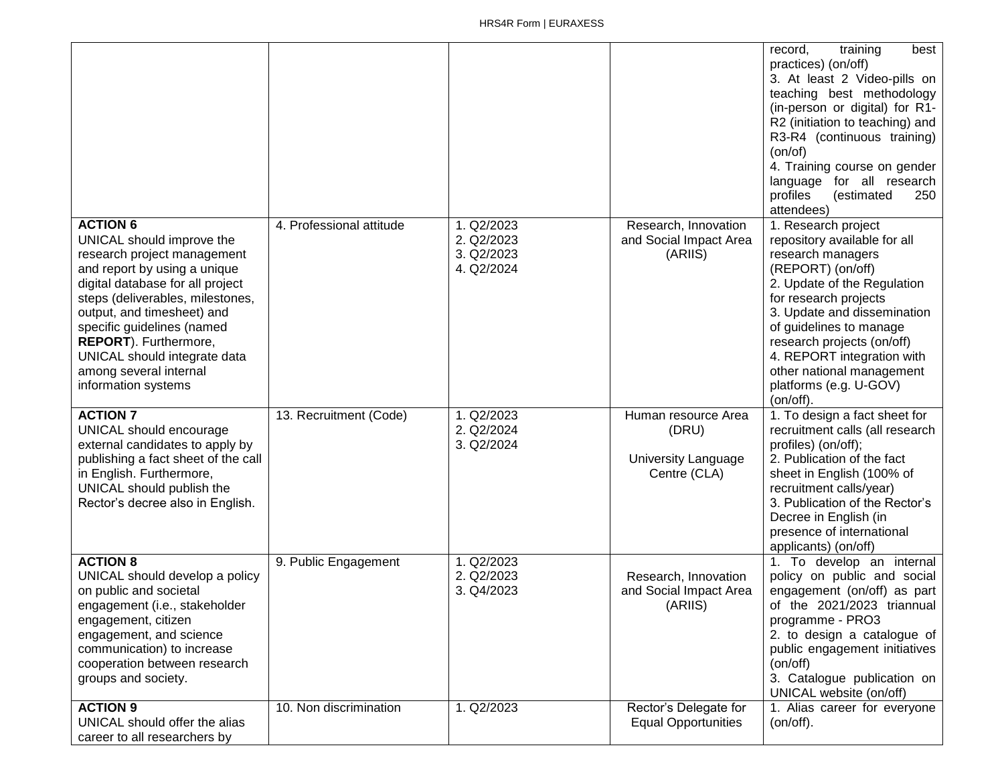|                                                                                                                                                                                                                                                                                                                                                           |                          |                                                      |                                                                            | best<br>record,<br>training<br>practices) (on/off)<br>3. At least 2 Video-pills on<br>teaching best methodology<br>(in-person or digital) for R1-<br>R2 (initiation to teaching) and<br>R3-R4 (continuous training)<br>(on/of)<br>4. Training course on gender<br>language for all research<br>profiles<br>(estimated<br>250<br>attendees)      |
|-----------------------------------------------------------------------------------------------------------------------------------------------------------------------------------------------------------------------------------------------------------------------------------------------------------------------------------------------------------|--------------------------|------------------------------------------------------|----------------------------------------------------------------------------|-------------------------------------------------------------------------------------------------------------------------------------------------------------------------------------------------------------------------------------------------------------------------------------------------------------------------------------------------|
| <b>ACTION 6</b><br>UNICAL should improve the<br>research project management<br>and report by using a unique<br>digital database for all project<br>steps (deliverables, milestones,<br>output, and timesheet) and<br>specific guidelines (named<br>REPORT). Furthermore,<br>UNICAL should integrate data<br>among several internal<br>information systems | 4. Professional attitude | 1. Q2/2023<br>2. Q2/2023<br>3. Q2/2023<br>4. Q2/2024 | Research, Innovation<br>and Social Impact Area<br>(ARIIS)                  | 1. Research project<br>repository available for all<br>research managers<br>(REPORT) (on/off)<br>2. Update of the Regulation<br>for research projects<br>3. Update and dissemination<br>of guidelines to manage<br>research projects (on/off)<br>4. REPORT integration with<br>other national management<br>platforms (e.g. U-GOV)<br>(on/off). |
| <b>ACTION 7</b><br>UNICAL should encourage<br>external candidates to apply by<br>publishing a fact sheet of the call<br>in English. Furthermore,<br>UNICAL should publish the<br>Rector's decree also in English.                                                                                                                                         | 13. Recruitment (Code)   | 1. Q2/2023<br>2. Q2/2024<br>3. Q2/2024               | Human resource Area<br>(DRU)<br><b>University Language</b><br>Centre (CLA) | 1. To design a fact sheet for<br>recruitment calls (all research<br>profiles) (on/off);<br>2. Publication of the fact<br>sheet in English (100% of<br>recruitment calls/year)<br>3. Publication of the Rector's<br>Decree in English (in<br>presence of international<br>applicants) (on/off)                                                   |
| <b>ACTION 8</b><br>UNICAL should develop a policy<br>on public and societal<br>engagement (i.e., stakeholder<br>engagement, citizen<br>engagement, and science<br>communication) to increase<br>cooperation between research<br>groups and society.                                                                                                       | 9. Public Engagement     | 1. Q2/2023<br>2. Q2/2023<br>3. Q4/2023               | Research, Innovation<br>and Social Impact Area<br>(ARIIS)                  | 1. To develop an internal<br>policy on public and social<br>engagement (on/off) as part<br>of the 2021/2023 triannual<br>programme - PRO3<br>2. to design a catalogue of<br>public engagement initiatives<br>(on/off)<br>3. Catalogue publication on<br>UNICAL website (on/off)                                                                 |
| <b>ACTION 9</b><br>UNICAL should offer the alias<br>career to all researchers by                                                                                                                                                                                                                                                                          | 10. Non discrimination   | 1. Q2/2023                                           | Rector's Delegate for<br><b>Equal Opportunities</b>                        | 1. Alias career for everyone<br>(on/off).                                                                                                                                                                                                                                                                                                       |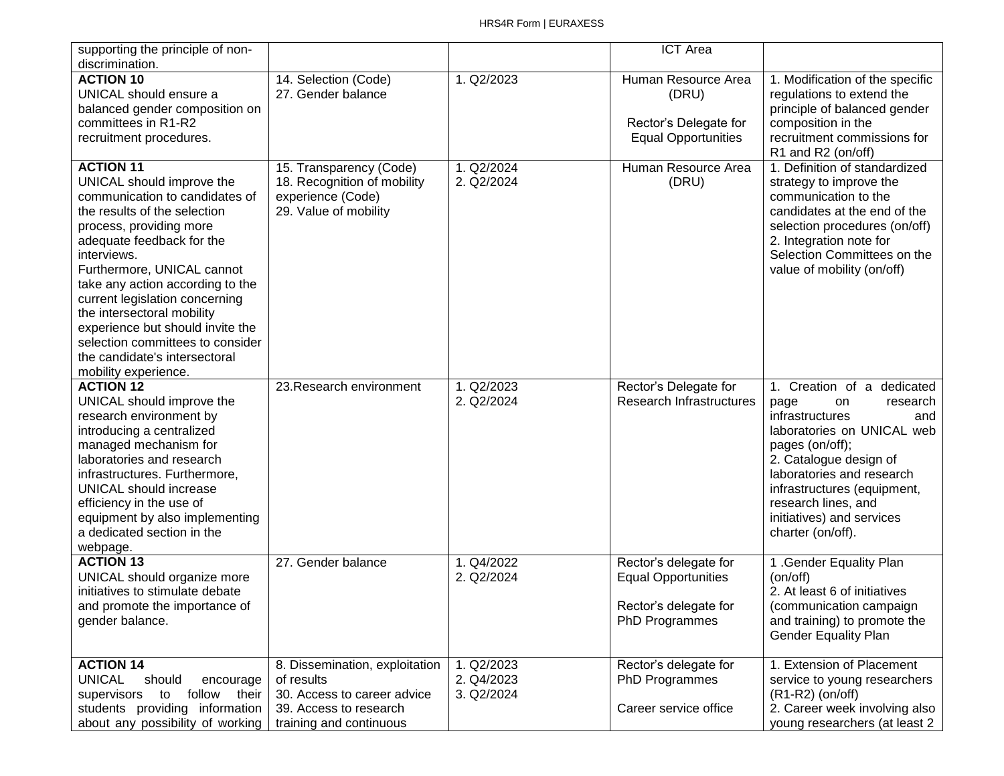| supporting the principle of non-                                                                                                                                                                                                                                                                                                                                                                                                                          |                                                                                                                                  |                                        | <b>ICT Area</b>                                                                                |                                                                                                                                                                                                                                                                                                |
|-----------------------------------------------------------------------------------------------------------------------------------------------------------------------------------------------------------------------------------------------------------------------------------------------------------------------------------------------------------------------------------------------------------------------------------------------------------|----------------------------------------------------------------------------------------------------------------------------------|----------------------------------------|------------------------------------------------------------------------------------------------|------------------------------------------------------------------------------------------------------------------------------------------------------------------------------------------------------------------------------------------------------------------------------------------------|
| discrimination.<br><b>ACTION 10</b>                                                                                                                                                                                                                                                                                                                                                                                                                       | 14. Selection (Code)                                                                                                             | 1. Q2/2023                             | Human Resource Area                                                                            | 1. Modification of the specific                                                                                                                                                                                                                                                                |
| UNICAL should ensure a<br>balanced gender composition on                                                                                                                                                                                                                                                                                                                                                                                                  | 27. Gender balance                                                                                                               |                                        | (DRU)                                                                                          | regulations to extend the<br>principle of balanced gender                                                                                                                                                                                                                                      |
| committees in R1-R2                                                                                                                                                                                                                                                                                                                                                                                                                                       |                                                                                                                                  |                                        | Rector's Delegate for                                                                          | composition in the                                                                                                                                                                                                                                                                             |
| recruitment procedures.                                                                                                                                                                                                                                                                                                                                                                                                                                   |                                                                                                                                  |                                        | <b>Equal Opportunities</b>                                                                     | recruitment commissions for<br>R1 and R2 (on/off)                                                                                                                                                                                                                                              |
| <b>ACTION 11</b><br>UNICAL should improve the<br>communication to candidates of<br>the results of the selection<br>process, providing more<br>adequate feedback for the<br>interviews.<br>Furthermore, UNICAL cannot<br>take any action according to the<br>current legislation concerning<br>the intersectoral mobility<br>experience but should invite the<br>selection committees to consider<br>the candidate's intersectoral<br>mobility experience. | 15. Transparency (Code)<br>18. Recognition of mobility<br>experience (Code)<br>29. Value of mobility                             | 1. Q2/2024<br>2. Q2/2024               | Human Resource Area<br>(DRU)                                                                   | 1. Definition of standardized<br>strategy to improve the<br>communication to the<br>candidates at the end of the<br>selection procedures (on/off)<br>2. Integration note for<br>Selection Committees on the<br>value of mobility (on/off)                                                      |
| <b>ACTION 12</b><br>UNICAL should improve the<br>research environment by<br>introducing a centralized<br>managed mechanism for<br>laboratories and research<br>infrastructures. Furthermore,<br><b>UNICAL should increase</b><br>efficiency in the use of<br>equipment by also implementing<br>a dedicated section in the<br>webpage.                                                                                                                     | 23. Research environment                                                                                                         | 1. Q2/2023<br>2. Q2/2024               | Rector's Delegate for<br>Research Infrastructures                                              | 1. Creation of a dedicated<br>research<br>page<br>on<br>infrastructures<br>and<br>laboratories on UNICAL web<br>pages (on/off);<br>2. Catalogue design of<br>laboratories and research<br>infrastructures (equipment,<br>research lines, and<br>initiatives) and services<br>charter (on/off). |
| <b>ACTION 13</b><br>UNICAL should organize more<br>initiatives to stimulate debate<br>and promote the importance of<br>gender balance.                                                                                                                                                                                                                                                                                                                    | 27. Gender balance                                                                                                               | 1. Q4/2022<br>2. Q2/2024               | Rector's delegate for<br><b>Equal Opportunities</b><br>Rector's delegate for<br>PhD Programmes | 1 .Gender Equality Plan<br>(on/off)<br>2. At least 6 of initiatives<br>(communication campaign<br>and training) to promote the<br><b>Gender Equality Plan</b>                                                                                                                                  |
| <b>ACTION 14</b><br><b>UNICAL</b><br>should<br>encourage<br>supervisors<br>to follow their<br>students providing information<br>about any possibility of working                                                                                                                                                                                                                                                                                          | 8. Dissemination, exploitation<br>of results<br>30. Access to career advice<br>39. Access to research<br>training and continuous | 1. Q2/2023<br>2. Q4/2023<br>3. Q2/2024 | Rector's delegate for<br>PhD Programmes<br>Career service office                               | 1. Extension of Placement<br>service to young researchers<br>$(R1-R2)$ (on/off)<br>2. Career week involving also<br>young researchers (at least 2                                                                                                                                              |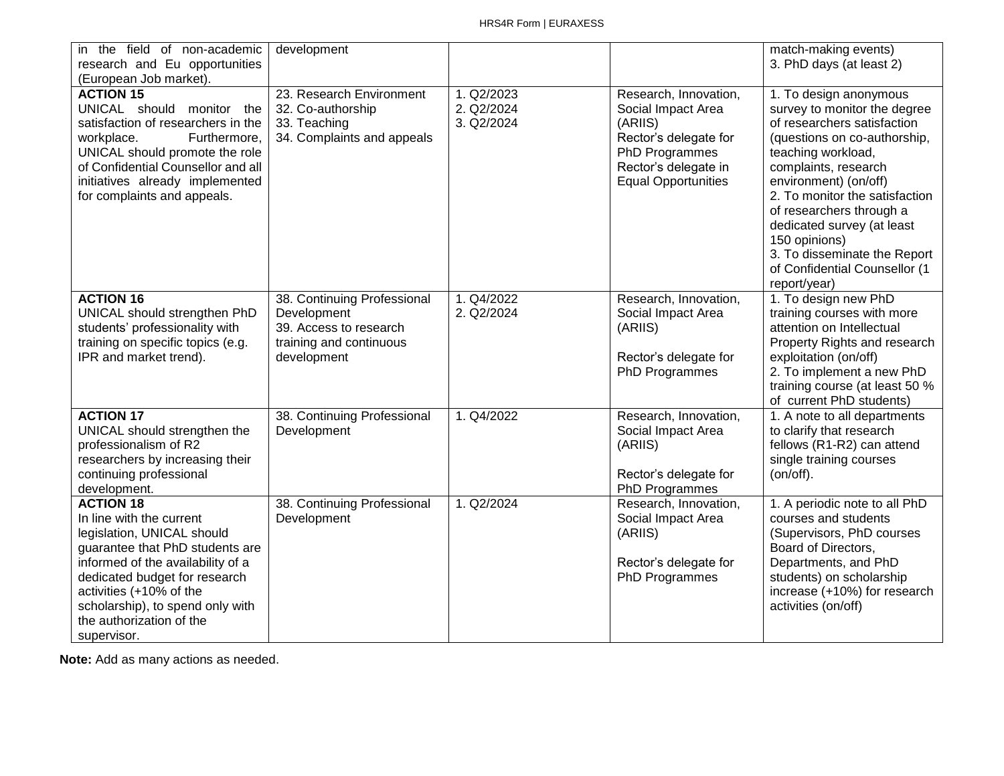| in the field of non-academic<br>research and Eu opportunities                                                                                                                                                                                                                                 | development                                                                                                    |                                        |                                                                                                                                                         | match-making events)<br>3. PhD days (at least 2)                                                                                                                                                                                                                                                                                                                                           |
|-----------------------------------------------------------------------------------------------------------------------------------------------------------------------------------------------------------------------------------------------------------------------------------------------|----------------------------------------------------------------------------------------------------------------|----------------------------------------|---------------------------------------------------------------------------------------------------------------------------------------------------------|--------------------------------------------------------------------------------------------------------------------------------------------------------------------------------------------------------------------------------------------------------------------------------------------------------------------------------------------------------------------------------------------|
| (European Job market).                                                                                                                                                                                                                                                                        |                                                                                                                |                                        |                                                                                                                                                         |                                                                                                                                                                                                                                                                                                                                                                                            |
| <b>ACTION 15</b><br>UNICAL should monitor the<br>satisfaction of researchers in the<br>workplace.<br>Furthermore,<br>UNICAL should promote the role<br>of Confidential Counsellor and all<br>initiatives already implemented<br>for complaints and appeals.                                   | 23. Research Environment<br>32. Co-authorship<br>33. Teaching<br>34. Complaints and appeals                    | 1. Q2/2023<br>2. Q2/2024<br>3. Q2/2024 | Research, Innovation,<br>Social Impact Area<br>(ARIIS)<br>Rector's delegate for<br>PhD Programmes<br>Rector's delegate in<br><b>Equal Opportunities</b> | 1. To design anonymous<br>survey to monitor the degree<br>of researchers satisfaction<br>(questions on co-authorship,<br>teaching workload,<br>complaints, research<br>environment) (on/off)<br>2. To monitor the satisfaction<br>of researchers through a<br>dedicated survey (at least<br>150 opinions)<br>3. To disseminate the Report<br>of Confidential Counsellor (1<br>report/year) |
| <b>ACTION 16</b><br>UNICAL should strengthen PhD<br>students' professionality with<br>training on specific topics (e.g.<br>IPR and market trend).                                                                                                                                             | 38. Continuing Professional<br>Development<br>39. Access to research<br>training and continuous<br>development | 1. Q4/2022<br>2. Q2/2024               | Research, Innovation,<br>Social Impact Area<br>(ARIIS)<br>Rector's delegate for<br>PhD Programmes                                                       | 1. To design new PhD<br>training courses with more<br>attention on Intellectual<br>Property Rights and research<br>exploitation (on/off)<br>2. To implement a new PhD<br>training course (at least 50 %<br>of current PhD students)                                                                                                                                                        |
| <b>ACTION 17</b><br>UNICAL should strengthen the<br>professionalism of R2<br>researchers by increasing their<br>continuing professional<br>development.                                                                                                                                       | 38. Continuing Professional<br>Development                                                                     | 1. Q4/2022                             | Research, Innovation,<br>Social Impact Area<br>(ARIIS)<br>Rector's delegate for<br>PhD Programmes                                                       | 1. A note to all departments<br>to clarify that research<br>fellows (R1-R2) can attend<br>single training courses<br>(on/off).                                                                                                                                                                                                                                                             |
| <b>ACTION 18</b><br>In line with the current<br>legislation, UNICAL should<br>guarantee that PhD students are<br>informed of the availability of a<br>dedicated budget for research<br>activities (+10% of the<br>scholarship), to spend only with<br>the authorization of the<br>supervisor. | 38. Continuing Professional<br>Development                                                                     | 1. Q2/2024                             | Research, Innovation,<br>Social Impact Area<br>(ARIIS)<br>Rector's delegate for<br>PhD Programmes                                                       | 1. A periodic note to all PhD<br>courses and students<br>(Supervisors, PhD courses<br>Board of Directors,<br>Departments, and PhD<br>students) on scholarship<br>increase (+10%) for research<br>activities (on/off)                                                                                                                                                                       |

**Note:** Add as many actions as needed.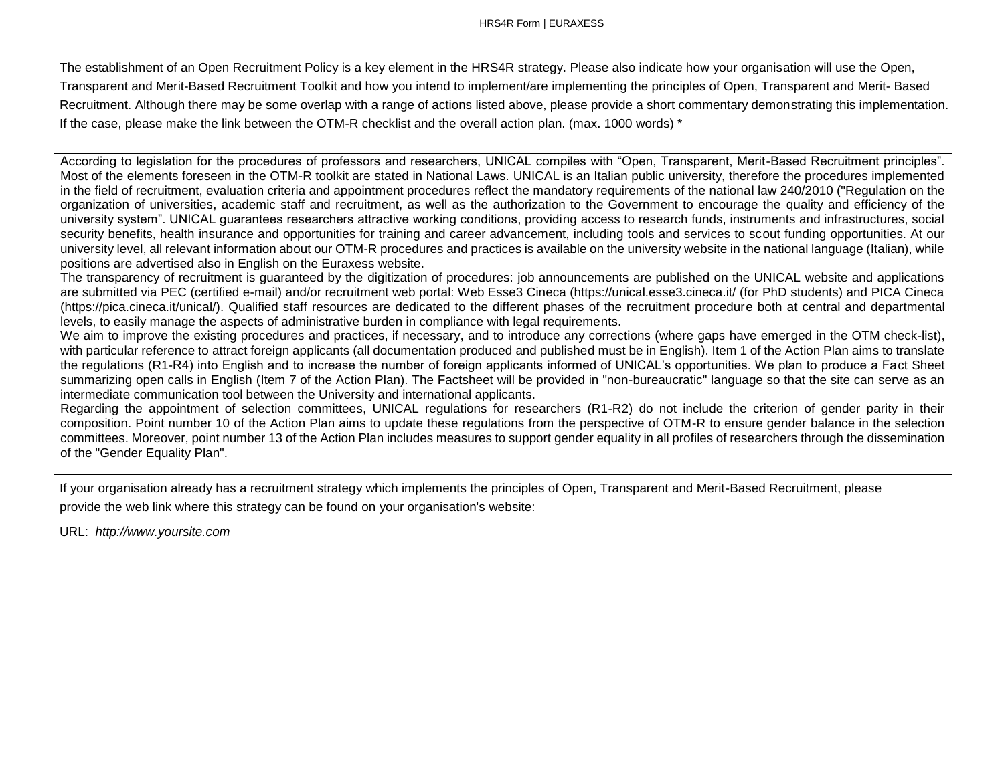The establishment of an Open Recruitment Policy is a key element in the HRS4R strategy. Please also indicate how your organisation will use the Open, Transparent and Merit-Based Recruitment Toolkit and how you intend to implement/are implementing the principles of Open, Transparent and Merit- Based Recruitment. Although there may be some overlap with a range of actions listed above, please provide a short commentary demonstrating this implementation. If the case, please make the link between the OTM-R checklist and the overall action plan. (max. 1000 words) \*

According to legislation for the procedures of professors and researchers, UNICAL compiles with "Open, Transparent, Merit-Based Recruitment principles". Most of the elements foreseen in the OTM-R toolkit are stated in National Laws. UNICAL is an Italian public university, therefore the procedures implemented in the field of recruitment, evaluation criteria and appointment procedures reflect the mandatory requirements of the national law 240/2010 ("Regulation on the organization of universities, academic staff and recruitment, as well as the authorization to the Government to encourage the quality and efficiency of the university system". UNICAL guarantees researchers attractive working conditions, providing access to research funds, instruments and infrastructures, social security benefits, health insurance and opportunities for training and career advancement, including tools and services to scout funding opportunities. At our university level, all relevant information about our OTM-R procedures and practices is available on the university website in the national language (Italian), while positions are advertised also in English on the Euraxess website.

The transparency of recruitment is guaranteed by the digitization of procedures: job announcements are published on the UNICAL website and applications are submitted via PEC (certified e-mail) and/or recruitment web portal: Web Esse3 Cineca (https://unical.esse3.cineca.it/ (for PhD students) and PICA Cineca (https://pica.cineca.it/unical/). Qualified staff resources are dedicated to the different phases of the recruitment procedure both at central and departmental levels, to easily manage the aspects of administrative burden in compliance with legal requirements.

We aim to improve the existing procedures and practices, if necessary, and to introduce any corrections (where gaps have emerged in the OTM check-list), with particular reference to attract foreign applicants (all documentation produced and published must be in English). Item 1 of the Action Plan aims to translate the regulations (R1-R4) into English and to increase the number of foreign applicants informed of UNICAL's opportunities. We plan to produce a Fact Sheet summarizing open calls in English (Item 7 of the Action Plan). The Factsheet will be provided in "non-bureaucratic" language so that the site can serve as an intermediate communication tool between the University and international applicants.

Regarding the appointment of selection committees, UNICAL regulations for researchers (R1-R2) do not include the criterion of gender parity in their composition. Point number 10 of the Action Plan aims to update these regulations from the perspective of OTM-R to ensure gender balance in the selection committees. Moreover, point number 13 of the Action Plan includes measures to support gender equality in all profiles of researchers through the dissemination of the "Gender Equality Plan".

If your organisation already has a recruitment strategy which implements the principles of Open, Transparent and Merit-Based Recruitment, please provide the web link where this strategy can be found on your organisation's website:

URL: *[http://www.yoursite.com](http://www.yoursite.com/)*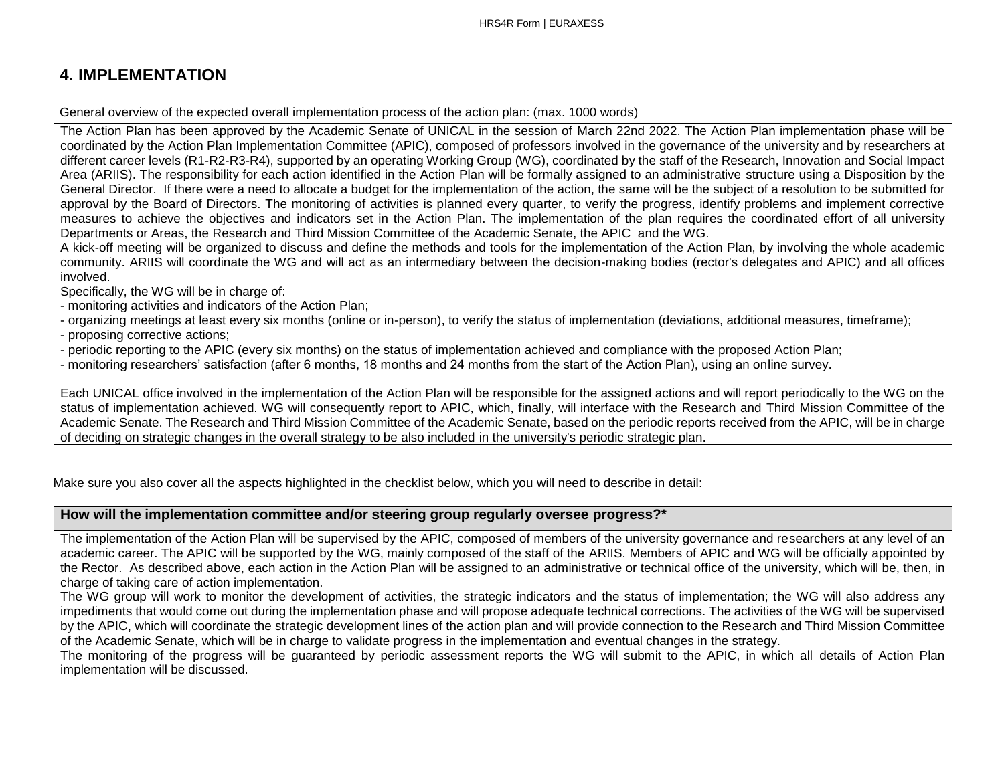# **4. IMPLEMENTATION**

General overview of the expected overall implementation process of the action plan: (max. 1000 words)

The Action Plan has been approved by the Academic Senate of UNICAL in the session of March 22nd 2022. The Action Plan implementation phase will be coordinated by the Action Plan Implementation Committee (APIC), composed of professors involved in the governance of the university and by researchers at different career levels (R1-R2-R3-R4), supported by an operating Working Group (WG), coordinated by the staff of the Research, Innovation and Social Impact Area (ARIIS). The responsibility for each action identified in the Action Plan will be formally assigned to an administrative structure using a Disposition by the General Director. If there were a need to allocate a budget for the implementation of the action, the same will be the subject of a resolution to be submitted for approval by the Board of Directors. The monitoring of activities is planned every quarter, to verify the progress, identify problems and implement corrective measures to achieve the objectives and indicators set in the Action Plan. The implementation of the plan requires the coordinated effort of all university Departments or Areas, the Research and Third Mission Committee of the Academic Senate, the APIC and the WG.

A kick-off meeting will be organized to discuss and define the methods and tools for the implementation of the Action Plan, by involving the whole academic community. ARIIS will coordinate the WG and will act as an intermediary between the decision-making bodies (rector's delegates and APIC) and all offices involved.

Specifically, the WG will be in charge of:

- monitoring activities and indicators of the Action Plan;

- organizing meetings at least every six months (online or in-person), to verify the status of implementation (deviations, additional measures, timeframe);

- proposing corrective actions;

- periodic reporting to the APIC (every six months) on the status of implementation achieved and compliance with the proposed Action Plan;

- monitoring researchers' satisfaction (after 6 months, 18 months and 24 months from the start of the Action Plan), using an online survey.

Each UNICAL office involved in the implementation of the Action Plan will be responsible for the assigned actions and will report periodically to the WG on the status of implementation achieved. WG will consequently report to APIC, which, finally, will interface with the Research and Third Mission Committee of the Academic Senate. The Research and Third Mission Committee of the Academic Senate, based on the periodic reports received from the APIC, will be in charge of deciding on strategic changes in the overall strategy to be also included in the university's periodic strategic plan.

Make sure you also cover all the aspects highlighted in the checklist below, which you will need to describe in detail:

#### **How will the implementation committee and/or steering group regularly oversee progress?\***

The implementation of the Action Plan will be supervised by the APIC, composed of members of the university governance and researchers at any level of an academic career. The APIC will be supported by the WG, mainly composed of the staff of the ARIIS. Members of APIC and WG will be officially appointed by the Rector. As described above, each action in the Action Plan will be assigned to an administrative or technical office of the university, which will be, then, in charge of taking care of action implementation.

The WG group will work to monitor the development of activities, the strategic indicators and the status of implementation; the WG will also address any impediments that would come out during the implementation phase and will propose adequate technical corrections. The activities of the WG will be supervised by the APIC, which will coordinate the strategic development lines of the action plan and will provide connection to the Research and Third Mission Committee of the Academic Senate, which will be in charge to validate progress in the implementation and eventual changes in the strategy.

The monitoring of the progress will be guaranteed by periodic assessment reports the WG will submit to the APIC, in which all details of Action Plan implementation will be discussed.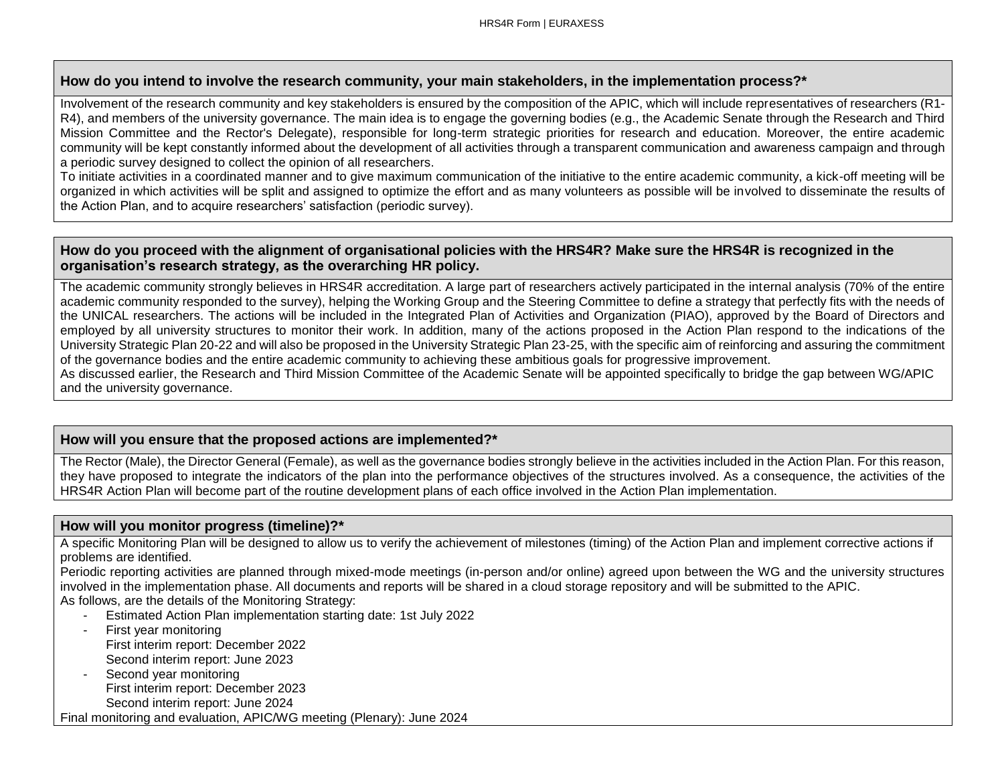#### **How do you intend to involve the research community, your main stakeholders, in the implementation process?\***

Involvement of the research community and key stakeholders is ensured by the composition of the APIC, which will include representatives of researchers (R1-R4), and members of the university governance. The main idea is to engage the governing bodies (e.g., the Academic Senate through the Research and Third Mission Committee and the Rector's Delegate), responsible for long-term strategic priorities for research and education. Moreover, the entire academic community will be kept constantly informed about the development of all activities through a transparent communication and awareness campaign and through a periodic survey designed to collect the opinion of all researchers.

To initiate activities in a coordinated manner and to give maximum communication of the initiative to the entire academic community, a kick-off meeting will be organized in which activities will be split and assigned to optimize the effort and as many volunteers as possible will be involved to disseminate the results of the Action Plan, and to acquire researchers' satisfaction (periodic survey).

#### **How do you proceed with the alignment of organisational policies with the HRS4R? Make sure the HRS4R is recognized in the organisation's research strategy, as the overarching HR policy.**

The academic community strongly believes in HRS4R accreditation. A large part of researchers actively participated in the internal analysis (70% of the entire academic community responded to the survey), helping the Working Group and the Steering Committee to define a strategy that perfectly fits with the needs of the UNICAL researchers. The actions will be included in the Integrated Plan of Activities and Organization (PIAO), approved by the Board of Directors and employed by all university structures to monitor their work. In addition, many of the actions proposed in the Action Plan respond to the indications of the University Strategic Plan 20-22 and will also be proposed in the University Strategic Plan 23-25, with the specific aim of reinforcing and assuring the commitment of the governance bodies and the entire academic community to achieving these ambitious goals for progressive improvement.

As discussed earlier, the Research and Third Mission Committee of the Academic Senate will be appointed specifically to bridge the gap between WG/APIC and the university governance.

#### **How will you ensure that the proposed actions are implemented?\***

The Rector (Male), the Director General (Female), as well as the governance bodies strongly believe in the activities included in the Action Plan. For this reason, they have proposed to integrate the indicators of the plan into the performance objectives of the structures involved. As a consequence, the activities of the HRS4R Action Plan will become part of the routine development plans of each office involved in the Action Plan implementation.

#### **How will you monitor progress (timeline)?\***

A specific Monitoring Plan will be designed to allow us to verify the achievement of milestones (timing) of the Action Plan and implement corrective actions if problems are identified.

Periodic reporting activities are planned through mixed-mode meetings (in-person and/or online) agreed upon between the WG and the university structures involved in the implementation phase. All documents and reports will be shared in a cloud storage repository and will be submitted to the APIC. As follows, are the details of the Monitoring Strategy:

- Estimated Action Plan implementation starting date: 1st July 2022
- First year monitoring First interim report: December 2022 Second interim report: June 2023
- Second year monitoring First interim report: December 2023 Second interim report: June 2024

Final monitoring and evaluation, APIC/WG meeting (Plenary): June 2024